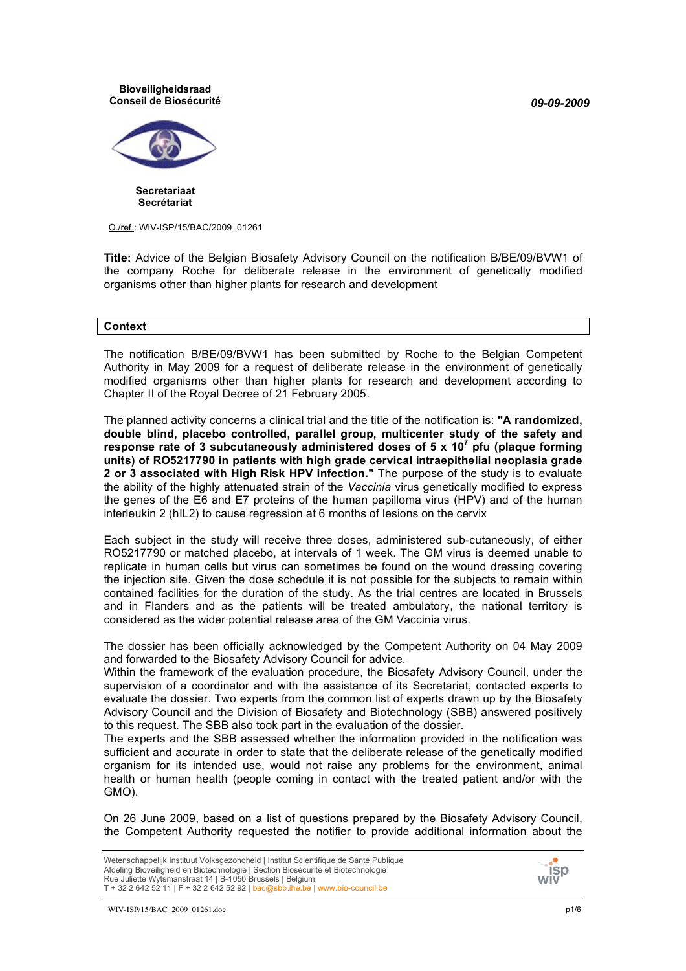*09-09-2009*

#### **Bioveiligheidsraad Conseil de Biosécurité**



**Secretariaat Secrétariat**

O./ref.: WIV-ISP/15/BAC/2009\_01261

**Title:** Advice of the Belgian Biosafety Advisory Council on the notification B/BE/09/BVW1 of the company Roche for deliberate release in the environment of genetically modified organisms other than higher plants for research and development

#### **Context**

The notification B/BE/09/BVW1 has been submitted by Roche to the Belgian Competent Authority in May 2009 for a request of deliberate release in the environment of genetically modified organisms other than higher plants for research and development according to Chapter II of the Royal Decree of 21 February 2005.

The planned activity concerns a clinical trial and the title of the notification is: **"A randomized, double blind, placebo controlled, parallel group, multicenter study of the safety and response rate of 3 subcutaneously administered doses of 5 x 10<sup>7</sup> pfu (plaque forming units) of RO5217790 in patients with high grade cervical intraepithelial neoplasia grade 2 or 3 associated with High Risk HPV infection."** The purpose of the study is to evaluate the ability of the highly attenuated strain of the *Vaccinia* virus genetically modified to express the genes of the E6 and E7 proteins of the human papilloma virus (HPV) and of the human interleukin 2 (hIL2) to cause regression at 6 months of lesions on the cervix

Each subject in the study will receive three doses, administered sub-cutaneously, of either RO5217790 or matched placebo, at intervals of 1 week. The GM virus is deemed unable to replicate in human cells but virus can sometimes be found on the wound dressing covering the injection site. Given the dose schedule it is not possible for the subjects to remain within contained facilities for the duration of the study. As the trial centres are located in Brussels and in Flanders and as the patients will be treated ambulatory, the national territory is considered as the wider potential release area of the GM Vaccinia virus*.*

The dossier has been officially acknowledged by the Competent Authority on 04 May 2009 and forwarded to the Biosafety Advisory Council for advice.

Within the framework of the evaluation procedure, the Biosafety Advisory Council, under the supervision of a coordinator and with the assistance of its Secretariat, contacted experts to evaluate the dossier. Two experts from the common list of experts drawn up by the Biosafety Advisory Council and the Division of Biosafety and Biotechnology (SBB) answered positively to this request. The SBB also took part in the evaluation of the dossier.

The experts and the SBB assessed whether the information provided in the notification was sufficient and accurate in order to state that the deliberate release of the genetically modified organism for its intended use, would not raise any problems for the environment, animal health or human health (people coming in contact with the treated patient and/or with the GMO).

On 26 June 2009, based on a list of questions prepared by the Biosafety Advisory Council, the Competent Authority requested the notifier to provide additional information about the



WIV-ISP/15/BAC\_2009\_01261.doc p1/6

Wetenschappelijk Instituut Volksgezondheid | Institut Scientifique de Santé Publique Afdeling Bioveiligheid en Biotechnologie | Section Biosécurité et Biotechnologie Rue Juliette Wytsmanstraat 14 | B-1050 Brussels | Belgium T + 32 2 642 52 11 | F + 32 2 642 52 92 | bac@sbb.ihe.be | www.bio-council.be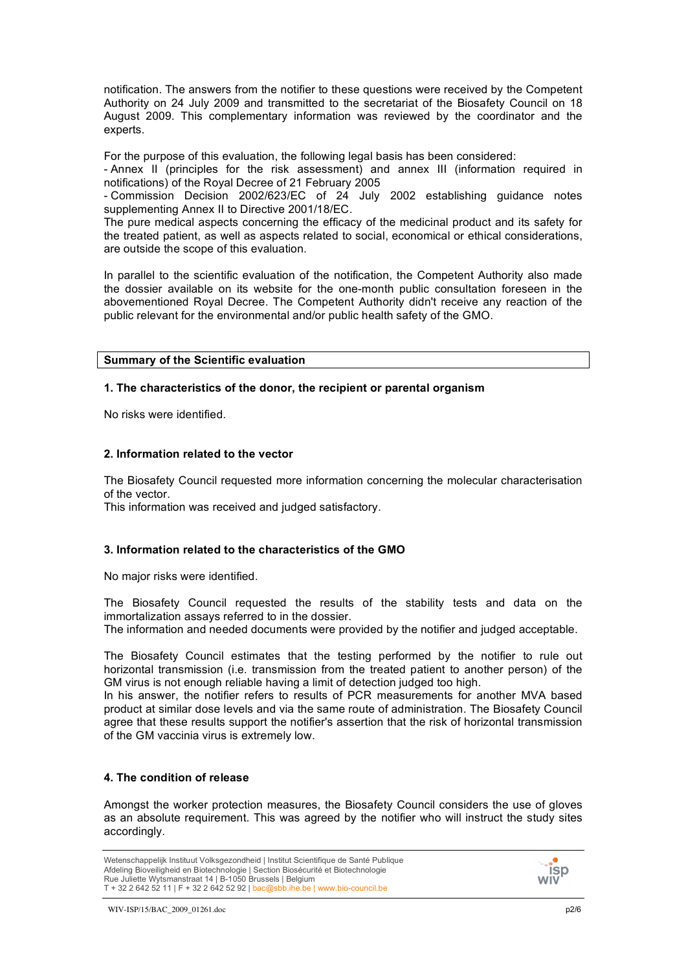notification. The answers from the notifier to these questions were received by the Competent Authority on 24 July 2009 and transmitted to the secretariat of the Biosafety Council on 18 August 2009. This complementary information was reviewed by the coordinator and the experts.

For the purpose of this evaluation, the following legal basis has been considered:

- Annex II (principles for the risk assessment) and annex III (information required in notifications) of the Royal Decree of 21 February 2005

- Commission Decision 2002/623/EC of 24 July 2002 establishing guidance notes supplementing Annex II to Directive 2001/18/EC.

The pure medical aspects concerning the efficacy of the medicinal product and its safety for the treated patient, as well as aspects related to social, economical or ethical considerations, are outside the scope of this evaluation.

In parallel to the scientific evaluation of the notification, the Competent Authority also made the dossier available on its website for the one-month public consultation foreseen in the abovementioned Royal Decree. The Competent Authority didn't receive any reaction of the public relevant for the environmental and/or public health safety of the GMO.

#### **Summary of the Scientific evaluation**

#### **1. The characteristics of the donor, the recipient or parental organism**

No risks were identified.

#### **2. Information related to the vector**

The Biosafety Council requested more information concerning the molecular characterisation of the vector.

This information was received and judged satisfactory.

## **3. Information related to the characteristics of the GMO**

No major risks were identified.

The Biosafety Council requested the results of the stability tests and data on the immortalization assays referred to in the dossier.

The information and needed documents were provided by the notifier and judged acceptable.

The Biosafety Council estimates that the testing performed by the notifier to rule out horizontal transmission (i.e. transmission from the treated patient to another person) of the GM virus is not enough reliable having a limit of detection judged too high.

In his answer, the notifier refers to results of PCR measurements for another MVA based product at similar dose levels and via the same route of administration. The Biosafety Council agree that these results support the notifier's assertion that the risk of horizontal transmission of the GM vaccinia virus is extremely low.

## **4. The condition of release**

Amongst the worker protection measures, the Biosafety Council considers the use of gloves as an absolute requirement. This was agreed by the notifier who will instruct the study sites accordingly.



Wetenschappelijk Instituut Volksgezondheid | Institut Scientifique de Santé Publique Afdeling Bioveiligheid en Biotechnologie | Section Biosécurité et Biotechnologie Rue Juliette Wytsmanstraat 14 | B-1050 Brussels | Belgium T + 32 2 642 52 11 | F + 32 2 642 52 92 | bac@sbb.ihe.be | www.bio-council.be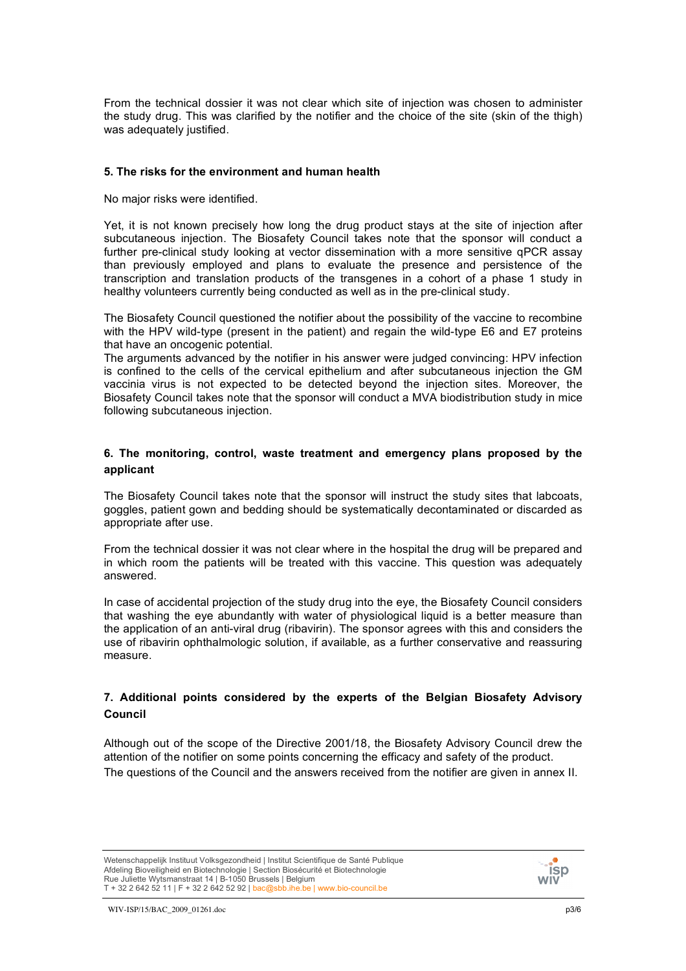From the technical dossier it was not clear which site of injection was chosen to administer the study drug. This was clarified by the notifier and the choice of the site (skin of the thigh) was adequately justified.

#### **5. The risks for the environment and human health**

No major risks were identified.

Yet, it is not known precisely how long the drug product stays at the site of injection after subcutaneous injection. The Biosafety Council takes note that the sponsor will conduct a further pre-clinical study looking at vector dissemination with a more sensitive qPCR assay than previously employed and plans to evaluate the presence and persistence of the transcription and translation products of the transgenes in a cohort of a phase 1 study in healthy volunteers currently being conducted as well as in the pre-clinical study.

The Biosafety Council questioned the notifier about the possibility of the vaccine to recombine with the HPV wild-type (present in the patient) and regain the wild-type E6 and E7 proteins that have an oncogenic potential.

The arguments advanced by the notifier in his answer were judged convincing: HPV infection is confined to the cells of the cervical epithelium and after subcutaneous injection the GM vaccinia virus is not expected to be detected beyond the injection sites. Moreover, the Biosafety Council takes note that the sponsor will conduct a MVA biodistribution study in mice following subcutaneous injection.

### **6. The monitoring, control, waste treatment and emergency plans proposed by the applicant**

The Biosafety Council takes note that the sponsor will instruct the study sites that labcoats, goggles, patient gown and bedding should be systematically decontaminated or discarded as appropriate after use.

From the technical dossier it was not clear where in the hospital the drug will be prepared and in which room the patients will be treated with this vaccine. This question was adequately answered.

In case of accidental projection of the study drug into the eye, the Biosafety Council considers that washing the eye abundantly with water of physiological liquid is a better measure than the application of an anti-viral drug (ribavirin). The sponsor agrees with this and considers the use of ribavirin ophthalmologic solution, if available, as a further conservative and reassuring measure.

## **7. Additional points considered by the experts of the Belgian Biosafety Advisory Council**

Although out of the scope of the Directive 2001/18, the Biosafety Advisory Council drew the attention of the notifier on some points concerning the efficacy and safety of the product. The questions of the Council and the answers received from the notifier are given in annex II.

Wetenschappelijk Instituut Volksgezondheid | Institut Scientifique de Santé Publique Afdeling Bioveiligheid en Biotechnologie | Section Biosécurité et Biotechnologie Rue Juliette Wytsmanstraat 14 | B-1050 Brussels | Belgium T + 32 2 642 52 11 | F + 32 2 642 52 92 | bac@sbb.ihe.be | www.bio-council.be

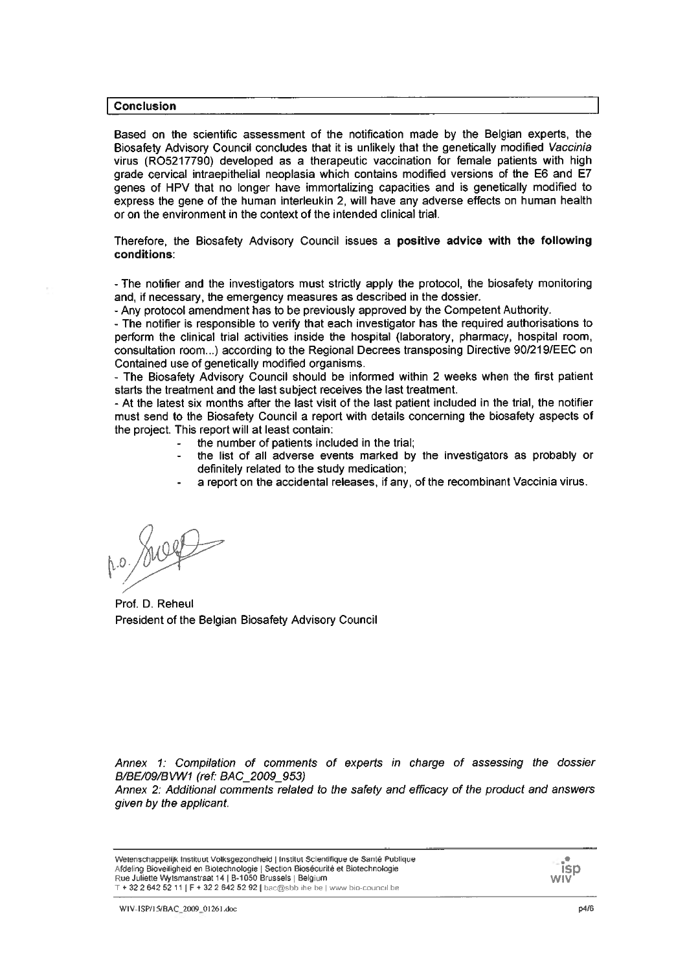#### **Conclusion**

Based on the scientific assessment of the notification made by the Belgian experts, the Biosafety Advisory Council concludes that it is unlikely that the genetically modified Vaccinia virus (RO5217790) developed as a therapeutic vaccination for female patients with high grade cervical intraepithelial neoplasia which contains modified versions of the E6 and E7 genes of HPV that no longer have immortalizing capacities and is genetically modified to express the gene of the human interleukin 2, will have any adverse effects on human health or on the environment in the context of the intended clinical trial.

Therefore, the Biosafety Advisory Council issues a positive advice with the following conditions:

- The notifier and the investigators must strictly apply the protocol, the biosafety monitoring and, if necessary, the emergency measures as described in the dossier.

- Any protocol amendment has to be previously approved by the Competent Authority.

- The notifier is responsible to verify that each investigator has the required authorisations to perform the clinical trial activities inside the hospital (laboratory, pharmacy, hospital room, consultation room...) according to the Regional Decrees transposing Directive 90/219/EEC on Contained use of genetically modified organisms.

- The Biosafety Advisory Council should be informed within 2 weeks when the first patient starts the treatment and the last subject receives the last treatment.

- At the latest six months after the last visit of the last patient included in the trial, the notifier must send to the Biosafety Council a report with details concerning the biosafety aspects of the project. This report will at least contain:

- the number of patients included in the trial;
- the list of all adverse events marked by the investigators as probably or  $\overline{a}$ definitely related to the study medication:
- a report on the accidental releases, if any, of the recombinant Vaccinia virus.

p.o. July

Prof. D. Reheul President of the Belgian Biosafety Advisory Council

Annex 1: Compilation of comments of experts in charge of assessing the dossier B/BE/09/BVW1 (ref: BAC 2009 953)

Annex 2: Additional comments related to the safety and efficacy of the product and answers given by the applicant.

Wetenschappelijk Instituut Volksgezondheid | Institut Scientifique de Santé Publique Afdeling Bioveiligheid en Biotechnologie | Section Biosécurité et Biotechnologie<br>Rue Juliette Wytsmanstraat 14 | B-1050 Brussels | Belgium T + 32 2 642 52 11 | F + 32 2 642 52 92 | bac@sbb ihe.be | www.bio-council.be

**isp** wiv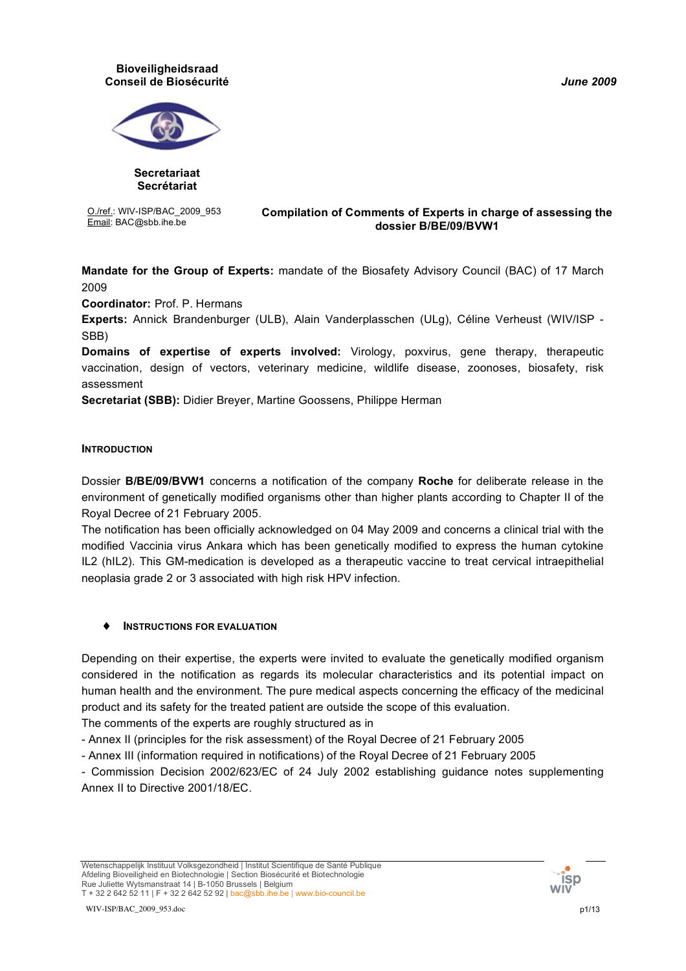*June 2009*

#### **Bioveiligheidsraad Conseil de Biosécurité**



**Secretariaat Secrétariat**

O./ref.: WIV-ISP/BAC\_2009\_953

#### Email: BAC@sbb.ihe.be **Compilation of Comments of Experts in charge of assessing the dossier B/BE/09/BVW1**

**Mandate for the Group of Experts:** mandate of the Biosafety Advisory Council (BAC) of 17 March 2009

**Coordinator:** Prof. P. Hermans

**Experts:** Annick Brandenburger (ULB), Alain Vanderplasschen (ULg), Céline Verheust (WIV/ISP - SBB)

**Domains of expertise of experts involved:** Virology, poxvirus, gene therapy, therapeutic vaccination, design of vectors, veterinary medicine, wildlife disease, zoonoses, biosafety, risk assessment

**Secretariat (SBB):** Didier Breyer, Martine Goossens, Philippe Herman

## **INTRODUCTION**

Dossier **B/BE/09/BVW1** concerns a notification of the company **Roche** for deliberate release in the environment of genetically modified organisms other than higher plants according to Chapter II of the Royal Decree of 21 February 2005.

The notification has been officially acknowledged on 04 May 2009 and concerns a clinical trial with the modified Vaccinia virus Ankara which has been genetically modified to express the human cytokine IL2 (hIL2). This GM-medication is developed as a therapeutic vaccine to treat cervical intraepithelial neoplasia grade 2 or 3 associated with high risk HPV infection.

## ♦ **INSTRUCTIONS FOR EVALUATION**

Depending on their expertise, the experts were invited to evaluate the genetically modified organism considered in the notification as regards its molecular characteristics and its potential impact on human health and the environment. The pure medical aspects concerning the efficacy of the medicinal product and its safety for the treated patient are outside the scope of this evaluation.

The comments of the experts are roughly structured as in

- Annex II (principles for the risk assessment) of the Royal Decree of 21 February 2005

- Annex III (information required in notifications) of the Royal Decree of 21 February 2005

- Commission Decision 2002/623/EC of 24 July 2002 establishing guidance notes supplementing Annex II to Directive 2001/18/EC.

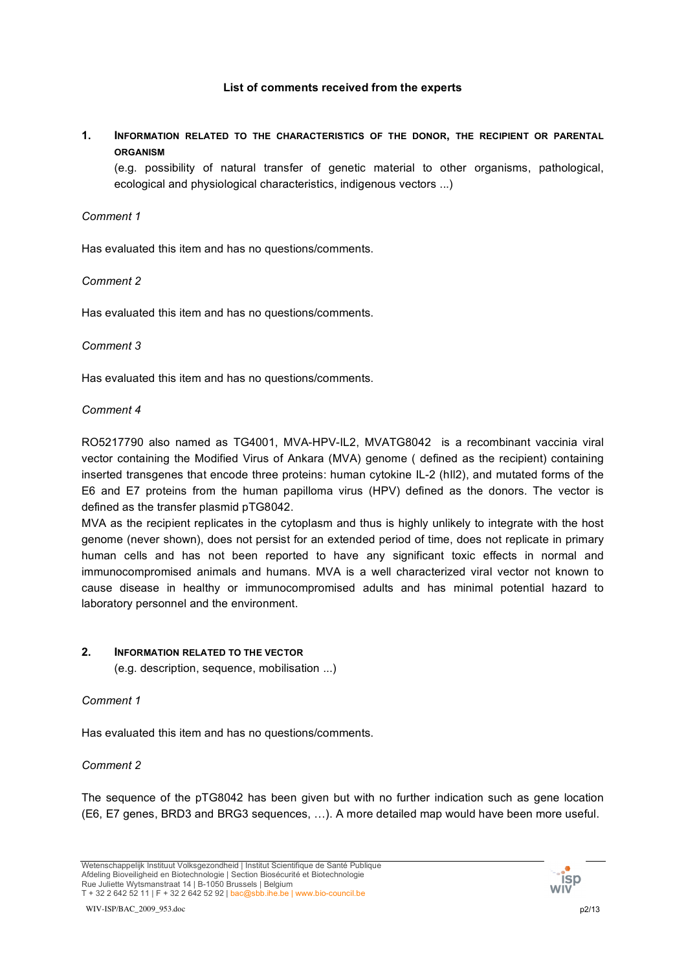## **List of comments received from the experts**

**1. INFORMATION RELATED TO THE CHARACTERISTICS OF THE DONOR, THE RECIPIENT OR PARENTAL ORGANISM**

(e.g. possibility of natural transfer of genetic material to other organisms, pathological, ecological and physiological characteristics, indigenous vectors ...)

## *Comment 1*

Has evaluated this item and has no questions/comments.

## *Comment 2*

Has evaluated this item and has no questions/comments.

### *Comment 3*

Has evaluated this item and has no questions/comments.

### *Comment 4*

RO5217790 also named as TG4001, MVA-HPV-IL2, MVATG8042 is a recombinant vaccinia viral vector containing the Modified Virus of Ankara (MVA) genome ( defined as the recipient) containing inserted transgenes that encode three proteins: human cytokine IL-2 (hIl2), and mutated forms of the E6 and E7 proteins from the human papilloma virus (HPV) defined as the donors. The vector is defined as the transfer plasmid pTG8042.

MVA as the recipient replicates in the cytoplasm and thus is highly unlikely to integrate with the host genome (never shown), does not persist for an extended period of time, does not replicate in primary human cells and has not been reported to have any significant toxic effects in normal and immunocompromised animals and humans. MVA is a well characterized viral vector not known to cause disease in healthy or immunocompromised adults and has minimal potential hazard to laboratory personnel and the environment.

### **2. INFORMATION RELATED TO THE VECTOR**

(e.g. description, sequence, mobilisation ...)

## *Comment 1*

Has evaluated this item and has no questions/comments.

### *Comment 2*

The sequence of the pTG8042 has been given but with no further indication such as gene location (E6, E7 genes, BRD3 and BRG3 sequences, …). A more detailed map would have been more useful.

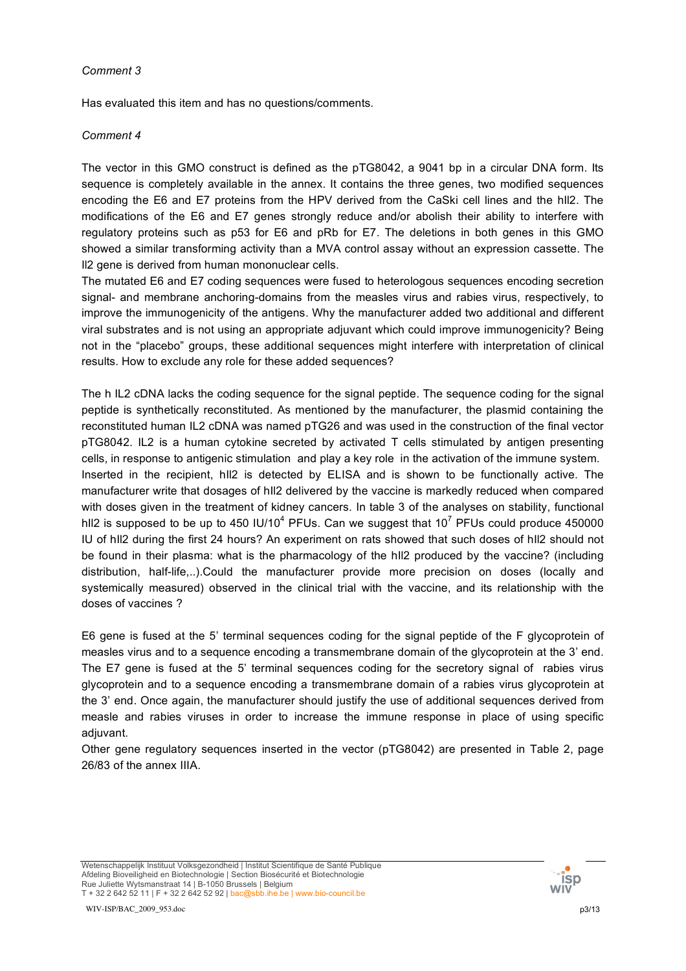Has evaluated this item and has no questions/comments.

## *Comment 4*

The vector in this GMO construct is defined as the pTG8042, a 9041 bp in a circular DNA form. Its sequence is completely available in the annex. It contains the three genes, two modified sequences encoding the E6 and E7 proteins from the HPV derived from the CaSki cell lines and the hIl2. The modifications of the E6 and E7 genes strongly reduce and/or abolish their ability to interfere with regulatory proteins such as p53 for E6 and pRb for E7. The deletions in both genes in this GMO showed a similar transforming activity than a MVA control assay without an expression cassette. The Il2 gene is derived from human mononuclear cells.

The mutated E6 and E7 coding sequences were fused to heterologous sequences encoding secretion signal- and membrane anchoring-domains from the measles virus and rabies virus, respectively, to improve the immunogenicity of the antigens. Why the manufacturer added two additional and different viral substrates and is not using an appropriate adjuvant which could improve immunogenicity? Being not in the "placebo" groups, these additional sequences might interfere with interpretation of clinical results. How to exclude any role for these added sequences?

The h IL2 cDNA lacks the coding sequence for the signal peptide. The sequence coding for the signal peptide is synthetically reconstituted. As mentioned by the manufacturer, the plasmid containing the reconstituted human IL2 cDNA was named pTG26 and was used in the construction of the final vector pTG8042. IL2 is a human cytokine secreted by activated T cells stimulated by antigen presenting cells, in response to antigenic stimulation and play a key role in the activation of the immune system. Inserted in the recipient, hIl2 is detected by ELISA and is shown to be functionally active. The manufacturer write that dosages of hIl2 delivered by the vaccine is markedly reduced when compared with doses given in the treatment of kidney cancers. In table 3 of the analyses on stability, functional hII2 is supposed to be up to 450 IU/10<sup>4</sup> PFUs. Can we suggest that 10<sup>7</sup> PFUs could produce 450000 IU of hIl2 during the first 24 hours? An experiment on rats showed that such doses of hIl2 should not be found in their plasma: what is the pharmacology of the hIl2 produced by the vaccine? (including distribution, half-life,..).Could the manufacturer provide more precision on doses (locally and systemically measured) observed in the clinical trial with the vaccine, and its relationship with the doses of vaccines ?

E6 gene is fused at the 5' terminal sequences coding for the signal peptide of the F glycoprotein of measles virus and to a sequence encoding a transmembrane domain of the glycoprotein at the 3' end. The E7 gene is fused at the 5' terminal sequences coding for the secretory signal of rabies virus glycoprotein and to a sequence encoding a transmembrane domain of a rabies virus glycoprotein at the 3' end. Once again, the manufacturer should justify the use of additional sequences derived from measle and rabies viruses in order to increase the immune response in place of using specific adiuvant.

Other gene regulatory sequences inserted in the vector (pTG8042) are presented in Table 2, page 26/83 of the annex IIIA.

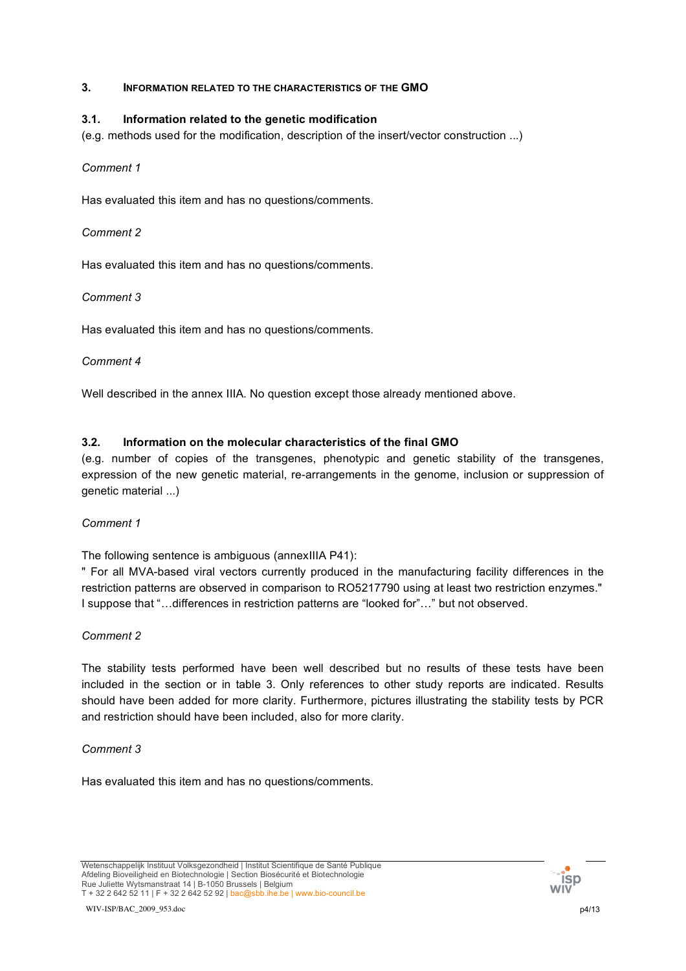## **3. INFORMATION RELATED TO THE CHARACTERISTICS OF THE GMO**

## **3.1. Information related to the genetic modification**

(e.g. methods used for the modification, description of the insert/vector construction ...)

## *Comment 1*

Has evaluated this item and has no questions/comments.

## *Comment 2*

Has evaluated this item and has no questions/comments.

## *Comment 3*

Has evaluated this item and has no questions/comments.

## *Comment 4*

Well described in the annex IIIA. No question except those already mentioned above.

## **3.2. Information on the molecular characteristics of the final GMO**

(e.g. number of copies of the transgenes, phenotypic and genetic stability of the transgenes, expression of the new genetic material, re-arrangements in the genome, inclusion or suppression of genetic material ...)

### *Comment 1*

The following sentence is ambiguous (annexIIIA P41):

" For all MVA-based viral vectors currently produced in the manufacturing facility differences in the restriction patterns are observed in comparison to RO5217790 using at least two restriction enzymes." I suppose that "…differences in restriction patterns are "looked for"…" but not observed.

## *Comment 2*

The stability tests performed have been well described but no results of these tests have been included in the section or in table 3. Only references to other study reports are indicated. Results should have been added for more clarity. Furthermore, pictures illustrating the stability tests by PCR and restriction should have been included, also for more clarity.

### *Comment 3*

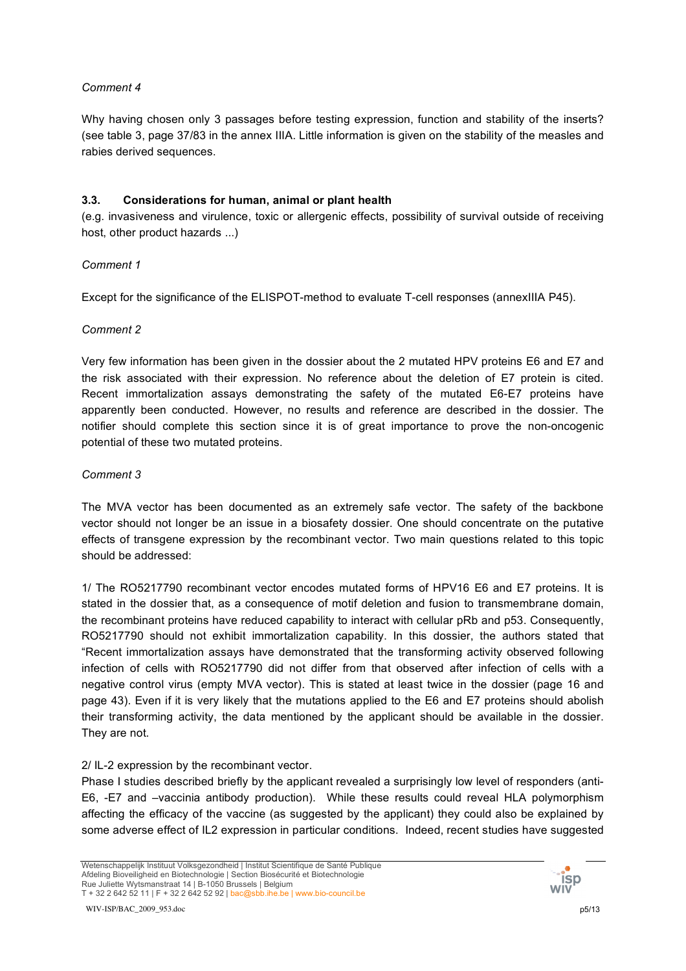Why having chosen only 3 passages before testing expression, function and stability of the inserts? (see table 3, page 37/83 in the annex IIIA. Little information is given on the stability of the measles and rabies derived sequences.

## **3.3. Considerations for human, animal or plant health**

(e.g. invasiveness and virulence, toxic or allergenic effects, possibility of survival outside of receiving host, other product hazards ...)

## *Comment 1*

Except for the significance of the ELISPOT-method to evaluate T-cell responses (annexIIIA P45).

### *Comment 2*

Very few information has been given in the dossier about the 2 mutated HPV proteins E6 and E7 and the risk associated with their expression. No reference about the deletion of E7 protein is cited. Recent immortalization assays demonstrating the safety of the mutated E6-E7 proteins have apparently been conducted. However, no results and reference are described in the dossier. The notifier should complete this section since it is of great importance to prove the non-oncogenic potential of these two mutated proteins.

## *Comment 3*

The MVA vector has been documented as an extremely safe vector. The safety of the backbone vector should not longer be an issue in a biosafety dossier. One should concentrate on the putative effects of transgene expression by the recombinant vector. Two main questions related to this topic should be addressed:

1/ The RO5217790 recombinant vector encodes mutated forms of HPV16 E6 and E7 proteins. It is stated in the dossier that, as a consequence of motif deletion and fusion to transmembrane domain, the recombinant proteins have reduced capability to interact with cellular pRb and p53. Consequently, RO5217790 should not exhibit immortalization capability. In this dossier, the authors stated that "Recent immortalization assays have demonstrated that the transforming activity observed following infection of cells with RO5217790 did not differ from that observed after infection of cells with a negative control virus (empty MVA vector). This is stated at least twice in the dossier (page 16 and page 43). Even if it is very likely that the mutations applied to the E6 and E7 proteins should abolish their transforming activity, the data mentioned by the applicant should be available in the dossier. They are not.

### 2/ IL-2 expression by the recombinant vector.

Phase I studies described briefly by the applicant revealed a surprisingly low level of responders (anti-E6, -E7 and –vaccinia antibody production). While these results could reveal HLA polymorphism affecting the efficacy of the vaccine (as suggested by the applicant) they could also be explained by some adverse effect of IL2 expression in particular conditions. Indeed, recent studies have suggested

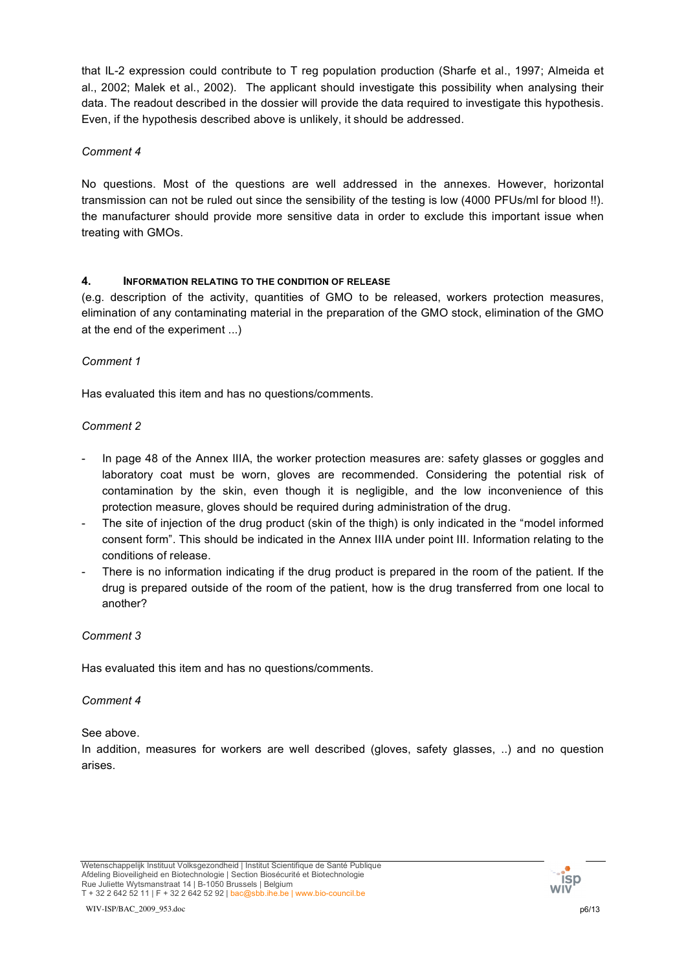that IL-2 expression could contribute to T reg population production (Sharfe et al., 1997; Almeida et al., 2002; Malek et al., 2002). The applicant should investigate this possibility when analysing their data. The readout described in the dossier will provide the data required to investigate this hypothesis. Even, if the hypothesis described above is unlikely, it should be addressed.

## *Comment 4*

No questions. Most of the questions are well addressed in the annexes. However, horizontal transmission can not be ruled out since the sensibility of the testing is low (4000 PFUs/ml for blood !!). the manufacturer should provide more sensitive data in order to exclude this important issue when treating with GMOs.

## **4. INFORMATION RELATING TO THE CONDITION OF RELEASE**

(e.g. description of the activity, quantities of GMO to be released, workers protection measures, elimination of any contaminating material in the preparation of the GMO stock, elimination of the GMO at the end of the experiment ...)

## *Comment 1*

Has evaluated this item and has no questions/comments.

## *Comment 2*

- In page 48 of the Annex IIIA, the worker protection measures are: safety glasses or goggles and laboratory coat must be worn, gloves are recommended. Considering the potential risk of contamination by the skin, even though it is negligible, and the low inconvenience of this protection measure, gloves should be required during administration of the drug.
- The site of injection of the drug product (skin of the thigh) is only indicated in the "model informed consent form". This should be indicated in the Annex IIIA under point III. Information relating to the conditions of release.
- There is no information indicating if the drug product is prepared in the room of the patient. If the drug is prepared outside of the room of the patient, how is the drug transferred from one local to another?

### *Comment 3*

Has evaluated this item and has no questions/comments.

### *Comment 4*

See above.

In addition, measures for workers are well described (gloves, safety glasses, ..) and no question arises.

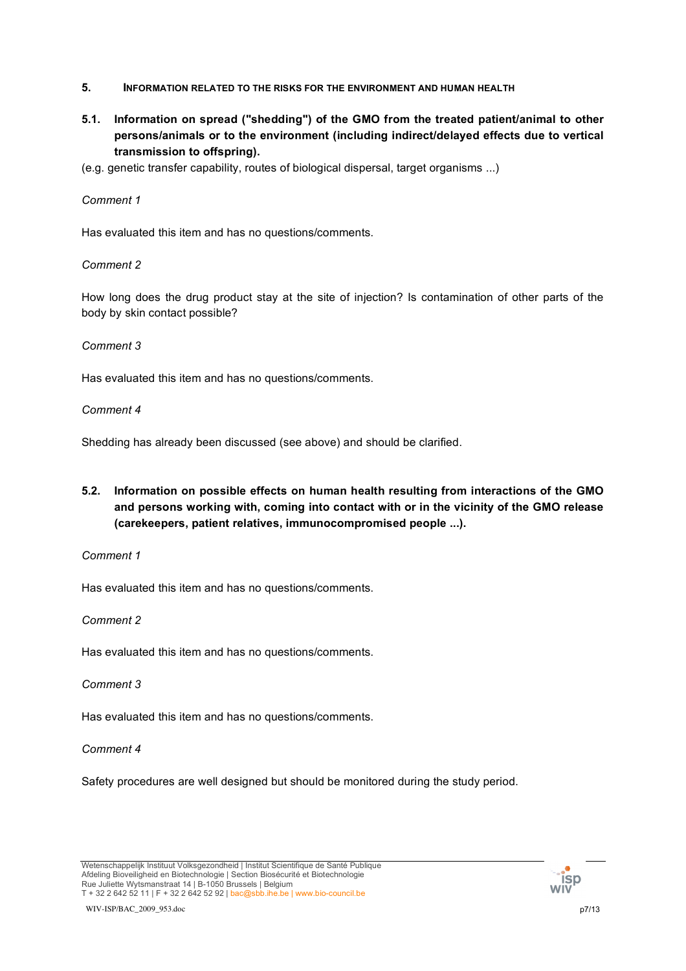- **5. INFORMATION RELATED TO THE RISKS FOR THE ENVIRONMENT AND HUMAN HEALTH**
- **5.1. Information on spread ("shedding") of the GMO from the treated patient/animal to other persons/animals or to the environment (including indirect/delayed effects due to vertical transmission to offspring).**
- (e.g. genetic transfer capability, routes of biological dispersal, target organisms ...)

Has evaluated this item and has no questions/comments.

### *Comment 2*

How long does the drug product stay at the site of injection? Is contamination of other parts of the body by skin contact possible?

#### *Comment 3*

Has evaluated this item and has no questions/comments.

#### *Comment 4*

Shedding has already been discussed (see above) and should be clarified.

**5.2. Information on possible effects on human health resulting from interactions of the GMO and persons working with, coming into contact with or in the vicinity of the GMO release (carekeepers, patient relatives, immunocompromised people ...).**

*Comment 1*

Has evaluated this item and has no questions/comments.

### *Comment 2*

Has evaluated this item and has no questions/comments.

### *Comment 3*

Has evaluated this item and has no questions/comments.

#### *Comment 4*

Safety procedures are well designed but should be monitored during the study period.

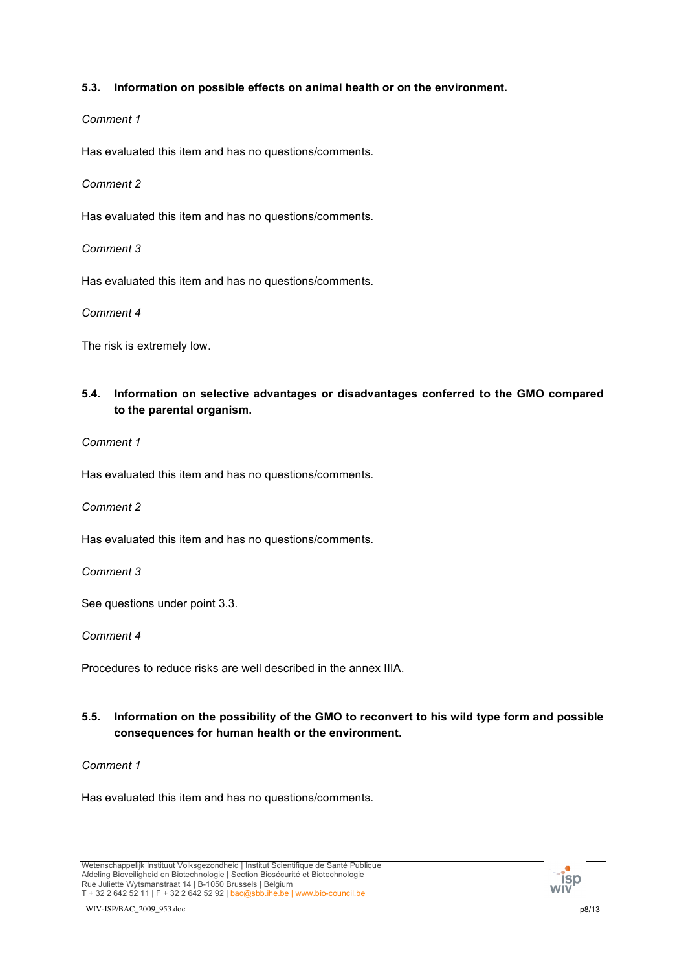## **5.3. Information on possible effects on animal health or on the environment.**

### *Comment 1*

Has evaluated this item and has no questions/comments.

## *Comment 2*

Has evaluated this item and has no questions/comments.

## *Comment 3*

Has evaluated this item and has no questions/comments.

### *Comment 4*

The risk is extremely low.

# **5.4. Information on selective advantages or disadvantages conferred to the GMO compared to the parental organism.**

*Comment 1*

Has evaluated this item and has no questions/comments.

*Comment 2*

Has evaluated this item and has no questions/comments.

*Comment 3*

See questions under point 3.3.

*Comment 4*

Procedures to reduce risks are well described in the annex IIIA.

## **5.5. Information on the possibility of the GMO to reconvert to his wild type form and possible consequences for human health or the environment.**

### *Comment 1*

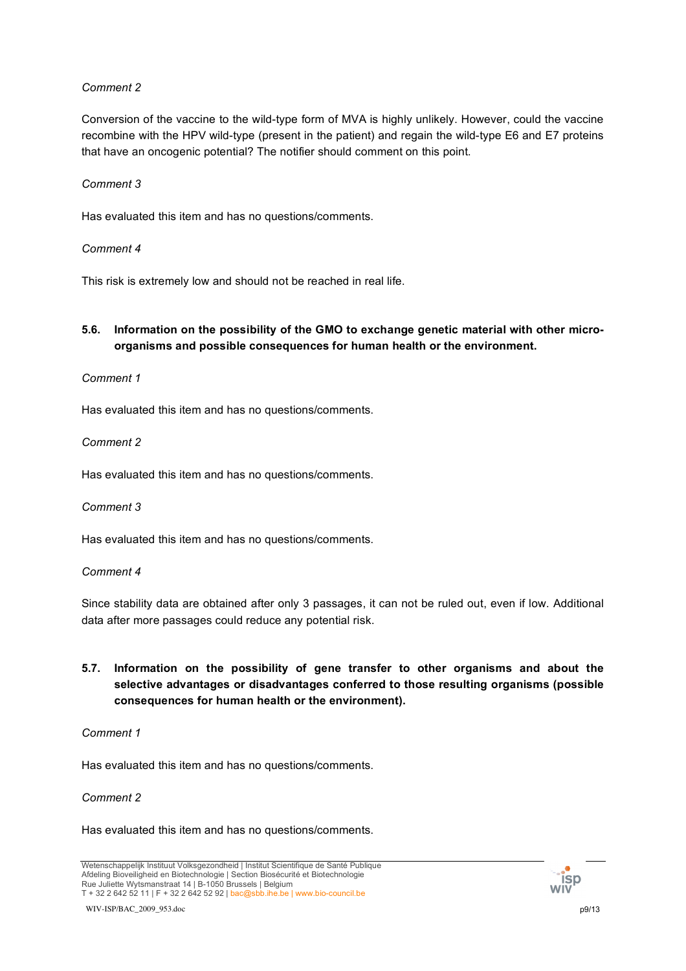Conversion of the vaccine to the wild-type form of MVA is highly unlikely. However, could the vaccine recombine with the HPV wild-type (present in the patient) and regain the wild-type E6 and E7 proteins that have an oncogenic potential? The notifier should comment on this point.

### *Comment 3*

Has evaluated this item and has no questions/comments.

### *Comment 4*

This risk is extremely low and should not be reached in real life.

## **5.6. Information on the possibility of the GMO to exchange genetic material with other microorganisms and possible consequences for human health or the environment.**

### *Comment 1*

Has evaluated this item and has no questions/comments.

*Comment 2*

Has evaluated this item and has no questions/comments.

*Comment 3*

Has evaluated this item and has no questions/comments.

#### *Comment 4*

Since stability data are obtained after only 3 passages, it can not be ruled out, even if low. Additional data after more passages could reduce any potential risk.

## **5.7. Information on the possibility of gene transfer to other organisms and about the selective advantages or disadvantages conferred to those resulting organisms (possible consequences for human health or the environment).**

#### *Comment 1*

Has evaluated this item and has no questions/comments.

### *Comment 2*

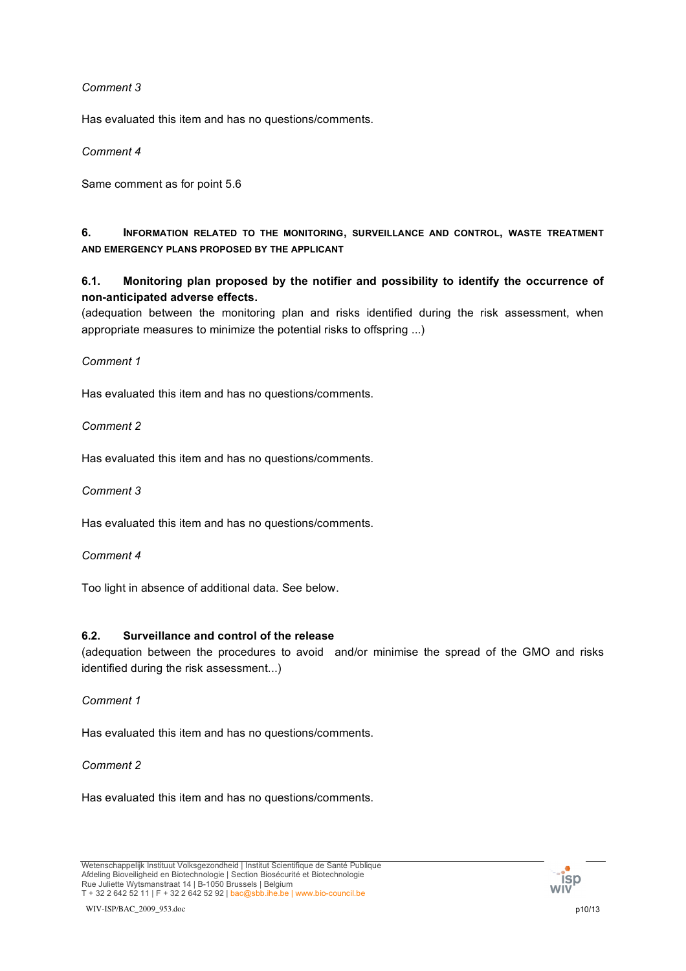Has evaluated this item and has no questions/comments.

*Comment 4*

Same comment as for point 5.6

## **6. INFORMATION RELATED TO THE MONITORING, SURVEILLANCE AND CONTROL, WASTE TREATMENT AND EMERGENCY PLANS PROPOSED BY THE APPLICANT**

**6.1. Monitoring plan proposed by the notifier and possibility to identify the occurrence of non-anticipated adverse effects.**

(adequation between the monitoring plan and risks identified during the risk assessment, when appropriate measures to minimize the potential risks to offspring ...)

## *Comment 1*

Has evaluated this item and has no questions/comments.

*Comment 2*

Has evaluated this item and has no questions/comments.

*Comment 3*

Has evaluated this item and has no questions/comments.

*Comment 4*

Too light in absence of additional data. See below.

### **6.2. Surveillance and control of the release**

(adequation between the procedures to avoid and/or minimise the spread of the GMO and risks identified during the risk assessment...)

### *Comment 1*

Has evaluated this item and has no questions/comments.

### *Comment 2*

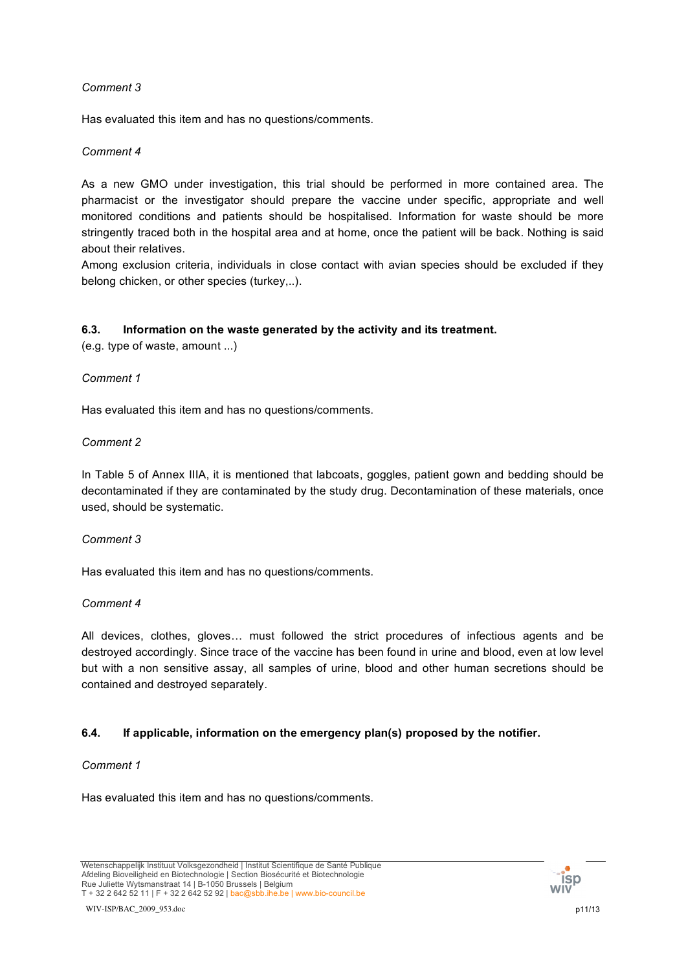Has evaluated this item and has no questions/comments.

## *Comment 4*

As a new GMO under investigation, this trial should be performed in more contained area. The pharmacist or the investigator should prepare the vaccine under specific, appropriate and well monitored conditions and patients should be hospitalised. Information for waste should be more stringently traced both in the hospital area and at home, once the patient will be back. Nothing is said about their relatives.

Among exclusion criteria, individuals in close contact with avian species should be excluded if they belong chicken, or other species (turkey,..).

## **6.3. Information on the waste generated by the activity and its treatment.**

(e.g. type of waste, amount ...)

## *Comment 1*

Has evaluated this item and has no questions/comments.

## *Comment 2*

In Table 5 of Annex IIIA, it is mentioned that labcoats, goggles, patient gown and bedding should be decontaminated if they are contaminated by the study drug. Decontamination of these materials, once used, should be systematic.

### *Comment 3*

Has evaluated this item and has no questions/comments.

### *Comment 4*

All devices, clothes, gloves… must followed the strict procedures of infectious agents and be destroyed accordingly. Since trace of the vaccine has been found in urine and blood, even at low level but with a non sensitive assay, all samples of urine, blood and other human secretions should be contained and destroyed separately.

### **6.4. If applicable, information on the emergency plan(s) proposed by the notifier.**

### *Comment 1*

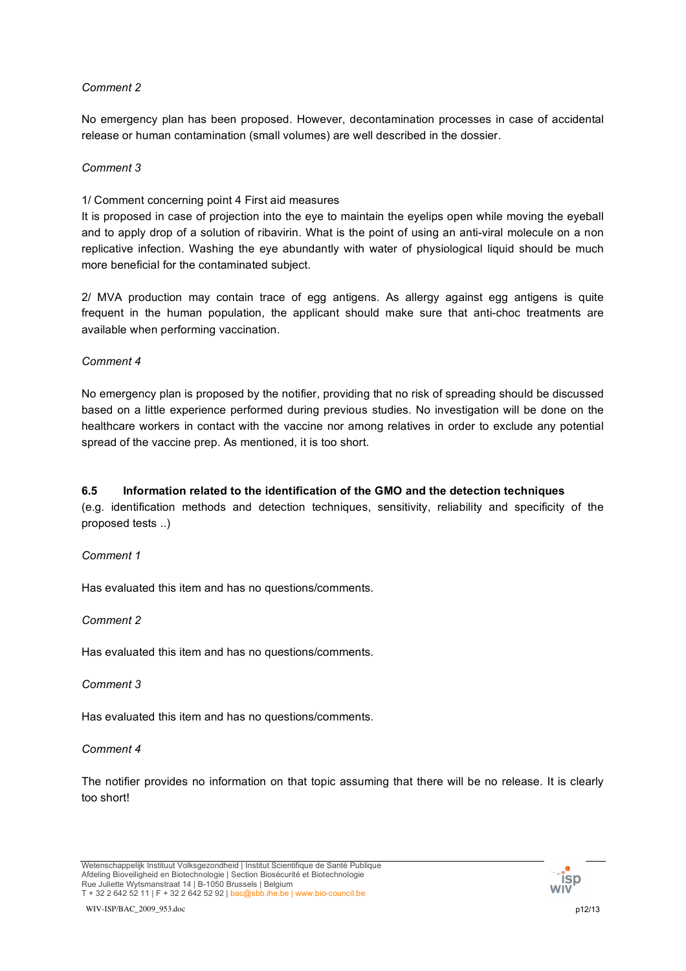No emergency plan has been proposed. However, decontamination processes in case of accidental release or human contamination (small volumes) are well described in the dossier.

## *Comment 3*

1/ Comment concerning point 4 First aid measures

It is proposed in case of projection into the eye to maintain the eyelips open while moving the eyeball and to apply drop of a solution of ribavirin. What is the point of using an anti-viral molecule on a non replicative infection. Washing the eye abundantly with water of physiological liquid should be much more beneficial for the contaminated subject.

2/ MVA production may contain trace of egg antigens. As allergy against egg antigens is quite frequent in the human population, the applicant should make sure that anti-choc treatments are available when performing vaccination.

## *Comment 4*

No emergency plan is proposed by the notifier, providing that no risk of spreading should be discussed based on a little experience performed during previous studies. No investigation will be done on the healthcare workers in contact with the vaccine nor among relatives in order to exclude any potential spread of the vaccine prep. As mentioned, it is too short.

## **6.5 Information related to the identification of the GMO and the detection techniques**

(e.g. identification methods and detection techniques, sensitivity, reliability and specificity of the proposed tests ..)

### *Comment 1*

Has evaluated this item and has no questions/comments.

### *Comment 2*

Has evaluated this item and has no questions/comments.

### *Comment 3*

Has evaluated this item and has no questions/comments.

### *Comment 4*

The notifier provides no information on that topic assuming that there will be no release. It is clearly too short!

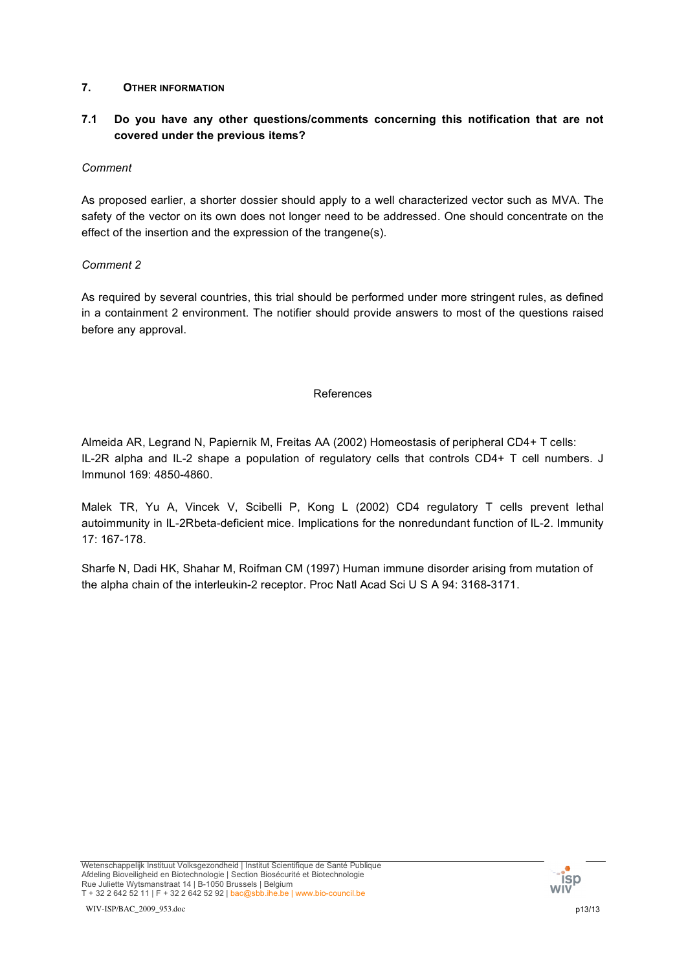## **7. OTHER INFORMATION**

# **7.1 Do you have any other questions/comments concerning this notification that are not covered under the previous items?**

## *Comment*

As proposed earlier, a shorter dossier should apply to a well characterized vector such as MVA. The safety of the vector on its own does not longer need to be addressed. One should concentrate on the effect of the insertion and the expression of the trangene(s).

## *Comment 2*

As required by several countries, this trial should be performed under more stringent rules, as defined in a containment 2 environment. The notifier should provide answers to most of the questions raised before any approval.

### References

Almeida AR, Legrand N, Papiernik M, Freitas AA (2002) Homeostasis of peripheral CD4+ T cells: IL-2R alpha and IL-2 shape a population of regulatory cells that controls CD4+ T cell numbers. J Immunol 169: 4850-4860.

Malek TR, Yu A, Vincek V, Scibelli P, Kong L (2002) CD4 regulatory T cells prevent lethal autoimmunity in IL-2Rbeta-deficient mice. Implications for the nonredundant function of IL-2. Immunity 17: 167-178.

Sharfe N, Dadi HK, Shahar M, Roifman CM (1997) Human immune disorder arising from mutation of the alpha chain of the interleukin-2 receptor. Proc Natl Acad Sci U S A 94: 3168-3171.

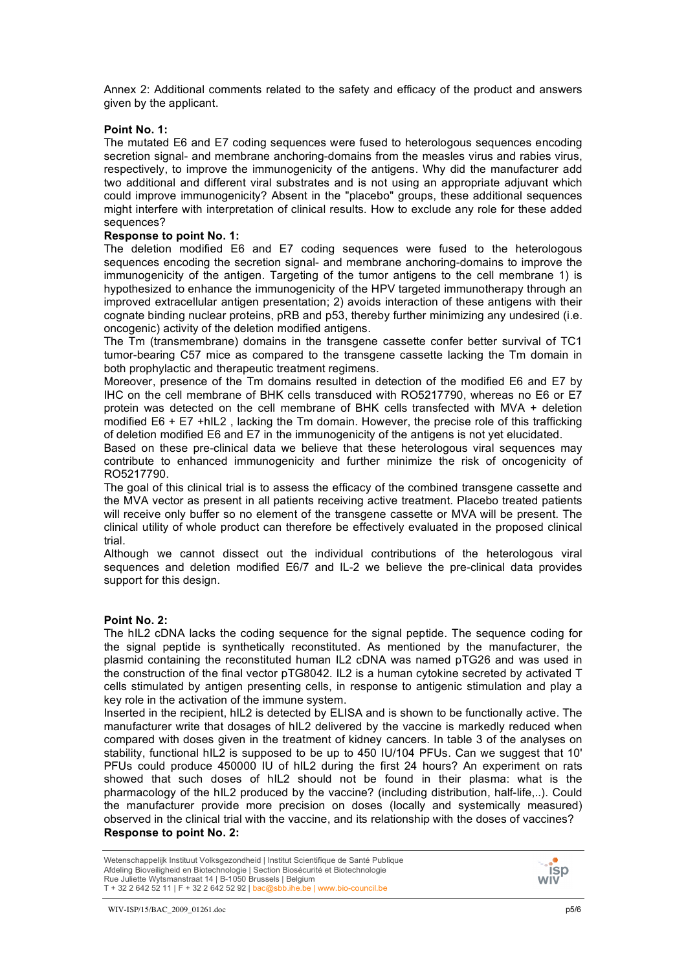Annex 2: Additional comments related to the safety and efficacy of the product and answers given by the applicant.

#### **Point No. 1:**

The mutated E6 and E7 coding sequences were fused to heterologous sequences encoding secretion signal- and membrane anchoring-domains from the measles virus and rabies virus, respectively, to improve the immunogenicity of the antigens. Why did the manufacturer add two additional and different viral substrates and is not using an appropriate adjuvant which could improve immunogenicity? Absent in the "placebo" groups, these additional sequences might interfere with interpretation of clinical results. How to exclude any role for these added sequences?

#### **Response to point No. 1:**

The deletion modified E6 and E7 coding sequences were fused to the heterologous sequences encoding the secretion signal- and membrane anchoring-domains to improve the immunogenicity of the antigen. Targeting of the tumor antigens to the cell membrane 1) is hypothesized to enhance the immunogenicity of the HPV targeted immunotherapy through an improved extracellular antigen presentation; 2) avoids interaction of these antigens with their cognate binding nuclear proteins, pRB and p53, thereby further minimizing any undesired (i.e. oncogenic) activity of the deletion modified antigens.

The Tm (transmembrane) domains in the transgene cassette confer better survival of TC1 tumor-bearing C57 mice as compared to the transgene cassette lacking the Tm domain in both prophylactic and therapeutic treatment regimens.

Moreover, presence of the Tm domains resulted in detection of the modified E6 and E7 by IHC on the cell membrane of BHK cells transduced with RO5217790, whereas no E6 or E7 protein was detected on the cell membrane of BHK cells transfected with MVA + deletion modified E6 + E7 +hIL2 , lacking the Tm domain. However, the precise role of this trafficking of deletion modified E6 and E7 in the immunogenicity of the antigens is not yet elucidated.

Based on these pre-clinical data we believe that these heterologous viral sequences may contribute to enhanced immunogenicity and further minimize the risk of oncogenicity of RO5217790.

The goal of this clinical trial is to assess the efficacy of the combined transgene cassette and the MVA vector as present in all patients receiving active treatment. Placebo treated patients will receive only buffer so no element of the transgene cassette or MVA will be present. The clinical utility of whole product can therefore be effectively evaluated in the proposed clinical trial.

Although we cannot dissect out the individual contributions of the heterologous viral sequences and deletion modified E6/7 and IL-2 we believe the pre-clinical data provides support for this design.

#### **Point No. 2:**

The hIL2 cDNA lacks the coding sequence for the signal peptide. The sequence coding for the signal peptide is synthetically reconstituted. As mentioned by the manufacturer, the plasmid containing the reconstituted human IL2 cDNA was named pTG26 and was used in the construction of the final vector pTG8042. IL2 is a human cytokine secreted by activated T cells stimulated by antigen presenting cells, in response to antigenic stimulation and play a key role in the activation of the immune system.

Inserted in the recipient, hIL2 is detected by ELISA and is shown to be functionally active. The manufacturer write that dosages of hIL2 delivered by the vaccine is markedly reduced when compared with doses given in the treatment of kidney cancers. In table 3 of the analyses on stability, functional hIL2 is supposed to be up to 450 IU/104 PFUs. Can we suggest that 10' PFUs could produce 450000 IU of hIL2 during the first 24 hours? An experiment on rats showed that such doses of hIL2 should not be found in their plasma: what is the pharmacology of the hIL2 produced by the vaccine? (including distribution, half-life,..). Could the manufacturer provide more precision on doses (locally and systemically measured) observed in the clinical trial with the vaccine, and its relationship with the doses of vaccines? **Response to point No. 2:**

Wetenschappelijk Instituut Volksgezondheid | Institut Scientifique de Santé Publique Afdeling Bioveiligheid en Biotechnologie | Section Biosécurité et Biotechnologie Rue Juliette Wytsmanstraat 14 | B-1050 Brussels | Belgium T + 32 2 642 52 11 | F + 32 2 642 52 92 | bac@sbb.ihe.be | www.bio-council.be